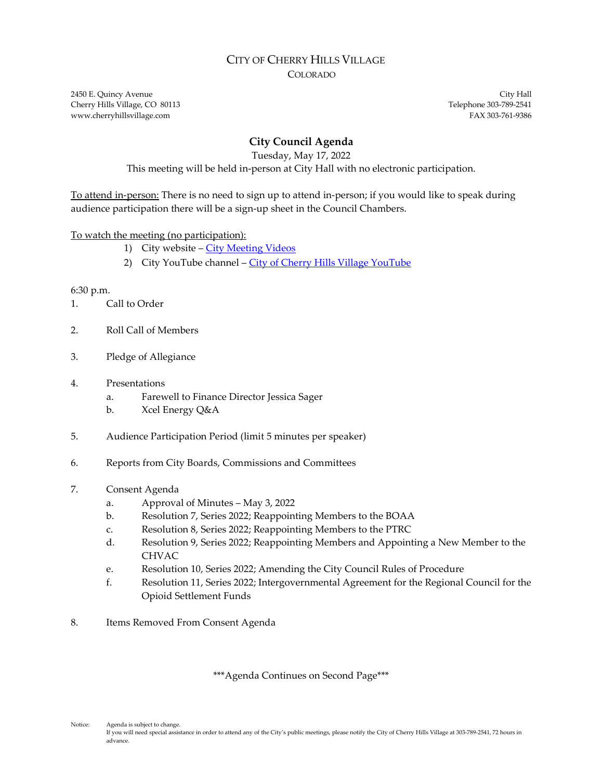### CITY OF CHERRY HILLS VILLAGE COLORADO

2450 E. Quincy Avenue City Hall Cherry Hills Village, CO 80113 Telephone 303-789-2541 www.cherryhillsvillage.com **FAX 303-761-9386** 

# **City Council Agenda**

Tuesday, May 17, 2022

This meeting will be held in-person at City Hall with no electronic participation.

To attend in-person: There is no need to sign up to attend in-person; if you would like to speak during audience participation there will be a sign-up sheet in the Council Chambers.

# To watch the meeting (no participation):

- 1) City website [City Meeting Videos](http://www.cherryhillsvillage.com/501/Council-Videos-Agendas-Packets-Minutes)
- 2) City YouTube channel [City of Cherry Hills Village YouTube](https://www.youtube.com/channel/UCHY4MgJ1gekrqDW949gW7Gw)

#### 6:30 p.m.

- 1. Call to Order
- 2. Roll Call of Members
- 3. Pledge of Allegiance

# 4. Presentations

- a. Farewell to Finance Director Jessica Sager
- b. Xcel Energy Q&A
- 5. Audience Participation Period (limit 5 minutes per speaker)
- 6. Reports from City Boards, Commissions and Committees
- 7. Consent Agenda
	- a. Approval of Minutes May 3, 2022
	- b. Resolution 7, Series 2022; Reappointing Members to the BOAA
	- c. Resolution 8, Series 2022; Reappointing Members to the PTRC
	- d. Resolution 9, Series 2022; Reappointing Members and Appointing a New Member to the CHVAC
	- e. Resolution 10, Series 2022; Amending the City Council Rules of Procedure
	- f. Resolution 11, Series 2022; Intergovernmental Agreement for the Regional Council for the Opioid Settlement Funds
- 8. Items Removed From Consent Agenda

\*\*\*Agenda Continues on Second Page\*\*\*

Notice: Agenda is subject to change. If you will need special assistance in order to attend any of the City's public meetings, please notify the City of Cherry Hills Village at 303-789-2541, 72 hours in advance.